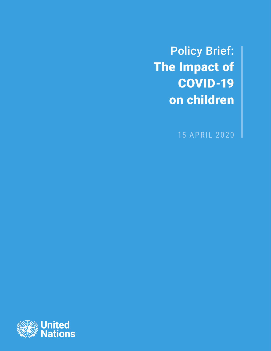Policy Brief: The Impact of COVID-19 on children

15 APRIL 2020

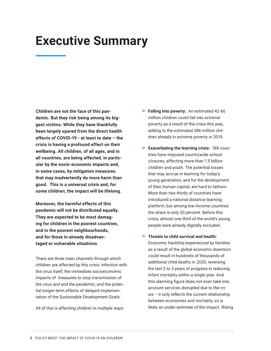## **Executive Summary**

**Children are not the face of this pandemic. But they risk being among its biggest victims. While they have thankfully been largely spared from the direct health effects of COVID-19 - at least to date – the crisis is having a profound effect on their wellbeing. All children, of all ages, and in all countries, are being affected, in particular by the socio-economic impacts and, in some cases, by mitigation measures that may inadvertently do more harm than good. This is a universal crisis and, for some children, the impact will be lifelong.** 

**Moreover, the harmful effects of this pandemic will not be distributed equally. They are expected to be most damaging for children in the poorest countries, and in the poorest neighbourhoods, and for those in already disadvantaged or vulnerable situations.**

There are three main channels through which children are affected by this crisis: infection with the virus itself; the immediate socioeconomic impacts of measures to stop transmission of the virus and end the pandemic; and the potential longer-term effects of delayed implementation of the Sustainable Development Goals.

All of this is affecting children in multiple ways:

- > **Falling into poverty:** An estimated 42-66 million children could fall into extreme poverty as a result of the crisis this year, adding to the estimated 386 million children already in extreme poverty in 2019.
- > **Exacerbating the learning crisis:** 188 countries have imposed countrywide school closures, affecting more than 1.5 billion children and youth. The potential losses that may accrue in learning for today's young generation, and for the development of their human capital, are hard to fathom. More than two-thirds of countries have introduced a national distance learning platform, but among low-income countries the share is only 30 percent. Before this crisis, almost one third of the world's young people were already digitally excluded.
- > **Threats to child survival and health:** Economic hardship experienced by families as a result of the global economic downturn could result in hundreds of thousands of additional child deaths in 2020, reversing the last 2 to 3 years of progress in reducing infant mortality within a single year. And this alarming figure does not even take into account services disrupted due to the crisis – it only reflects the current relationship between economies and mortality, so is likely an under-estimate of the impact. Rising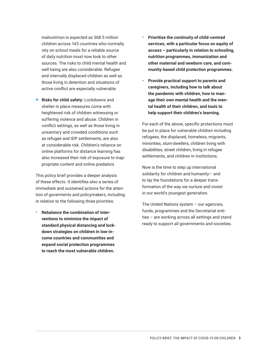malnutririon is expected as 368.5 million children across 143 countries who normally rely on school meals for a reliable source of daily nutrition must now look to other sources. The risks to child mental health and well being are also considerable. Refugee and internally displaced children as well as those living in detention and situations of active conflict are especially vulnerable.

> **Risks for child safety:** Lockdowns and shelter in place measures come with heightened risk of children witnessing or suffering violence and abuse. Children in conflict settings, as well as those living in unsanitary and crowded conditions such as refugee and IDP settlements, are also at considerable risk. Children's reliance on online platforms for distance learning has also increased their risk of exposure to inappropriate content and online predators

This policy brief provides a deeper analysis of these effects. It identifies also a series of immediate and sustained actions for the attention of goverments and policymakers, including in relation to the following three priorities:

• **Rebalance the combination of interventions to minimize the impact of standard physical distancing and lockdown strategies on children in low-income countries and communities and expand social protection programmes to reach the most vulnerable children.**

- **Prioritize the continuity of child-centred services, with a particular focus on equity of access – particularly in relation to schooling, nutrition programmes, immunization and other maternal and newborn care, and community-based child protection programmes.**
- **Provide practical support to parents and caregivers, including how to talk about the pandemic with children, how to manage their own mental health and the mental health of their children, and tools to help support their children's learning.**

For each of the above, specific protections must be put in place for vulnerable children including refugees, the displaced, homeless, migrants, minorities, slum-dwellers, children living with disabilities, street children, living in refugee settlements, and children in institutions.

Now is the time to step up international solidarity for children and humanity— and to lay the foundations for a deeper transformation of the way we nurture and invest in our world's youngest generation.

The United Nations system – our agencies, funds, programmes and the Secretariat entities – are working across all settings and stand ready to support all governments and societies.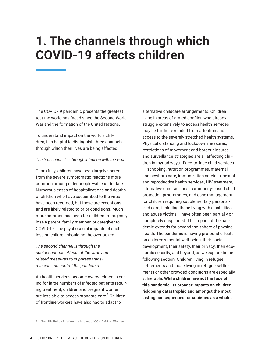# **1. The channels through which COVID-19 affects children**

The COVID-19 pandemic presents the greatest test the world has faced since the Second World War and the formation of the United Nations.

To understand impact on the world's children, it is helpful to distinguish three channels through which their lives are being affected.

#### *The first channel is through infection with the virus.*

Thankfully, children have been largely spared from the severe symptomatic reactions more common among older people—at least to date. Numerous cases of hospitalizations and deaths of children who have succumbed to the virus have been recorded, but these are exceptions and are likely related to prior conditions. Much more common has been for children to tragically lose a parent, family member, or caregiver to COVID-19. The psychosocial impacts of such loss on children should not be overlooked.

*The second channel is through the socioeconomic effects of the virus and related measures to suppress transmission and control the pandemic.* 

As health services become overwhelmed in caring for large numbers of infected patients requiring treatment, children and pregnant women are less able to access standard care.<sup>1</sup> Children of frontline workers have also had to adapt to

alternative childcare arrangements. Children living in areas of armed conflict, who already struggle extensively to access health services may be further excluded from attention and access to the severely stretched health systems. Physical distancing and lockdown measures, restrictions of movement and border closures, and surveillance strategies are all affecting children in myriad ways. Face-to-face child services – schooling, nutrition programmes, maternal and newborn care, immunization services, sexual and reproductive health services, HIV treatment, alternative care facilities, community-based child protection programmes, and case management for children requiring supplementary personalized care, including those living with disabilities, and abuse victims – have often been partially or completely suspended. The impact of the pandemic extends far beyond the sphere of physical health. The pandemic is having profound effects on children's mental well-being, their social development, their safety, their privacy, their economic security, and beyond, as we explore in the following section. Children living in refugee settlements and those living in refugee settlements or other crowded conditions are especially vulnerable. **While children are not the face of this pandemic, its broader impacts on children risk being catastrophic and amongst the most lasting consequences for societies as a whole.**

**<sup>1</sup>** See: [UN Policy Brief on the Impact of COVID-19 on Women](https://www.unwomen.org/-/media/headquarters/attachments/sections/library/publications/2020/policy-brief-the-impact-of-covid-19-on-women-en.pdf?la=en&vs=1406)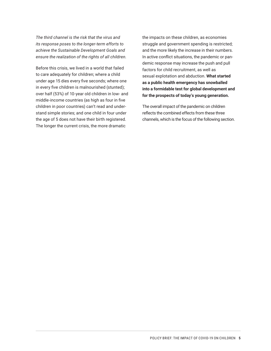*The third channel is the risk that the virus and its response poses to the longer-term efforts to achieve the Sustainable Development Goals and ensure the realization of the rights of all children.* 

Before this crisis, we lived in a world that failed to care adequately for children; where a child under age 15 dies every five seconds; where one in every five children is malnourished (stunted); over half (53%) of 10-year old children in low- and middle-income countries (as high as four in five children in poor countries) can't read and understand simple stories; and one child in four under the age of 5 does not have their birth registered. The longer the current crisis, the more dramatic

the impacts on these children, as economies struggle and government spending is restricted; and the more likely the increase in their numbers. In active conflict situations, the pandemic or pandemic response may increase the push and pull factors for child recruitment, as well as sexual explotation and abduction. **What started as a public health emergency has snowballed into a formidable test for global development and for the prospects of today's young generation.** 

The overall impact of the pandemic on children reflects the combined effects from these three channels, which is the focus of the following section.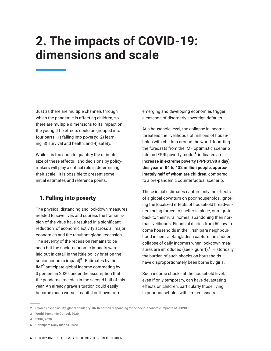# **2. The impacts of COVID-19: dimensions and scale**

Just as there are multiple channels through which the pandemic is affecting children, so there are multiple dimensions to its impact on the young. The effects could be grouped into four parts: 1) falling into poverty; 2) learning; 3) survival and health; and 4) safety.

While it is too soon to quantify the ultimate size of these effects—and decisions by policymakers will play a critical role in determining their scale—it is possible to present some initial estimates and reference points.

### 1. Falling into poverty

The physical distancing and lockdown measures needed to save lives and supress the transmission of the virus have resulted in a significant reduction of economic activity across all major economies and the resultant global recession. The severity of the recession remains to be seen but the socio-economic impacts were laid out in detail in the [title policy brief on the socioeconomic impact] $^2$  . Estimates by the  $IMF<sup>3</sup>$  anticipate global income contracting by 3 percent in 2020, under the assumption that the pandemic recedes in the second half of this year. An already grave situation could easily become much worse if capital outflows from

emerging and developing economies trigger a cascade of disorderly sovereign defaults.

At a household level, the collapse in income threatens the livelihoods of millions of households with children around the world. Inputting the forecasts from the IMF optimistic scenario into an IFPRI poverty model<sup>4</sup> indicates an **increase in extreme poverty (PPP\$1.90 a day) this year of 84 to 132 million people, approximately half of whom are children**, compared to a pre-pandemic counterfactual scenario.

These initial estimates capture only the effects of a global downturn on poor households, ignoring the localized effects of household breadwinners being forced to shelter in place, or migrate back to their rural homes, abandoning their normal livelihoods. Financial diaries from 60 low-income households in the Hrishipara neighbourhood in central Bangladesh capture the sudden collapse of daily incomes when lockdown measures are introduced (see Figure 1).<sup>5</sup> Historically, the burden of such shocks on households have disproportionately been borne by girls.

Such income shocks at the household level, even if only temporary, can have devastating effects on children, particularly those living in poor households with limited assets.

**<sup>2</sup>** [Shared responsibility, global solidarity: UN Report on responding to the socio-economic impacts of COVID-19](https://unsdg.un.org/resources/shared-responsibility-global-solidarity-responding-socio-economic-impacts-covid-19)

**<sup>3</sup>** [World Economic Outlook 2020](https://www.imf.org/en/Publications/WEO/Issues/2020/04/14/weo-april-2020)

**<sup>4</sup>** [IFPRI, 2020](https://www.ifpri.org/blog/how-much-will-global-poverty-increase-because-covid-19)

**<sup>5</sup>** [Hrishipara Daily Diaries, 2020](https://sites.google.com/site/hrishiparadailydiaries/home/corona-virus?authuser=0)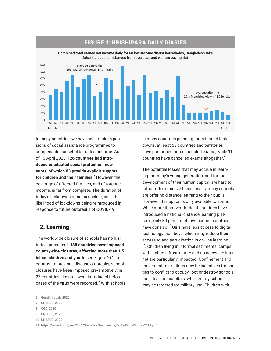

### **FIGURE 1: HRISHIPARA DAILY DIARIES**

Combined total earned net income daily for 60 low-income diarist households, Bangladesh taka (also includes remittances from overseas and welfare payments)

In many countries, we have seen rapid expansions of social assistance programmes to compensate households for lost income. As of 10 April 2020, **126 countries had introduced or adapted social protection measures, of which 83 provide explicit support for children and their families.** <sup>6</sup> However, the coverage of affected families, and of forgone income, is far from complete. The duration of today's lockdowns remains unclear, as is the likelihood of lockdowns being reintroduced in response to future outbreaks of COVID-19.

### 2. Learning

The worldwide closure of schools has no historical precedent. **188 countries have imposed countrywide closures, affecting more than 1.5 billion children and youth** (see Figure 2).<sup>7</sup> In contrast to previous disease outbreaks, school closures have been imposed pre-emptively: in 27 countries closures were introduced before cases of the virus were recorded.<sup>8</sup> With schools

**9** [UNESCO, 2020](https://en.unesco.org/covid19/educationresponse)

in many countries planning for extended lockdowns, at least 58 countries and territories have postponed or rescheduled exams, while 11 countries have cancelled exams altogether.<sup>9</sup>

The potential losses that may accrue in learning for today's young generation, and for the development of their human capital, are hard to fathom. To minimize these losses, many schools are offering distance learning to their pupils. However, this option is only available to some. While more than two-thirds of countries have introduced a national distance learning platform, only 30 percent of low-income countries have done so.<sup>10</sup> Girls have less access to digital technology than boys, which may reduce their access to and participation in on-line learning <sup>11</sup>. Children living in informal settlments, camps with limited infrastructure and no access to internet are particularly impacted. Confinement and movement restrictions may be incentives for parties to conflict to occupy, loot or destroy schools facilities and hospitals; while empty schools may be targeted for military use. Children with

**<sup>6</sup>** [Gentilini et al., 2020](http://www.ugogentilini.net/wp-content/uploads/2020/04/Country-SP-COVID-responses_April10.pdf)

**<sup>7</sup>** [UNESCO, 2020](https://en.unesco.org/covid19/educationresponse)

**<sup>8</sup>** [CGD, 2020](https://www.cgdev.org/blog/schools-out-now-what)

**<sup>10</sup>** [UNESCO, 2020](https://en.unesco.org/covid19/educationresponse/nationalresponses)

**<sup>11</sup>** <https://www.itu.int/en/ITU-D/Statistics/Documents/facts/FactsFigures2019.pdf>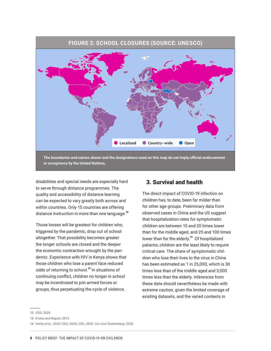

**or acceptance by the United Nations.**

disabilities and special needs are especially hard to serve through distance programmes. The quality and accessibility of distance learning can be expected to vary greatly both across and within countries. Only 15 countries are offering distance instruction in more than one language.<sup>12</sup>

Those losses will be greatest for children who, triggered by the pandemic, drop out of school altogether. That possibility becomes greater the longer schools are closed and the deeper the economic contraction wrought by the pandemic. Experience with HIV in Kenya shows that those children who lose a parent face reduced odds of returning to school.<sup>13</sup> In situations of continuing conflict, children no longer in school may be incentivized to join armed forces or groups, thus perpetuating the cycle of violence.

### 3. Survival and health

The direct impact of COVID-19 infection on children has, to date, been far milder than for other age groups. Preliminary data from observed cases in China and the US suggest that hospitalization rates for symptomatic children are between 10 and 20 times lower than for the middle aged, and 25 and 100 times lower than for the elderly.<sup>14</sup> Of hospitalized patients, children are the least likely to require critical care. The share of symptomatic children who lose their lives to the virus in China has been estimated as 1 in 25,000, which is 30 times less than of the middle aged and 3,000 times less than the elderly. Inferences from these data should nevertheless be made with extreme caution, given the limited coverage of existing datasets, and the varied contexts in

**<sup>12</sup>** [CGD, 2020](https://www.cgdev.org/blog/more-our-database-school-closures-new-education-policies-may-be-increasing-educational)

**<sup>13</sup>** [Evans and Miguel, 2013](http://emiguel.econ.berkeley.edu/research/orphans-and-schooling-in-africa-a-longitudinal-analysis)

**<sup>14</sup>** [Verity et al., 2020](https://www.medrxiv.org/content/10.1101/2020.03.09.20033357v1); [CDC, 2020](https://www.cdc.gov/mmwr/volumes/69/wr/mm6912e2.htm); [CDC, 2020](https://www.cdc.gov/mmwr/volumes/69/wr/mm6914e4.htm). See also [Stoltenberg, 2020](https://www.fhi.no/globalassets/dokumenterfiler/rapporter/2020/the-role-of-children-in-the-transmission-of-sars-cov-2-report-2020.pdf)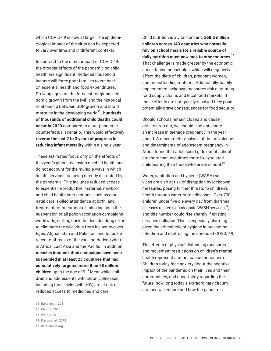which COVID-19 is now at large. The epidemiological impact of the virus can be expected to vary over time and in different contexts.

In contrast to the direct impact of COVID-19, the broader effects of the pandemic on child health are significant. Reduced household income will force poor families to cut back on essential health and food expenditures. Drawing again on the forecast for global economic growth from the IMF and the historical relationship between GDP growth and infant mortality in the developing world<sup>15</sup>, **hundreds of thousands of additional child deaths could occur in 2020** compared to a pre-pandemic counterfactual scenario. This would effectively **reverse the last 2 to 3 years of progress in reducing infant mortality** within a single year.

These estimates focus only on the effects of this year's global recession on child health and do not account for the multiple ways in which health services are being directly disrupted by the pandemic. This includes reduced access to essential reproductive, maternal, newborn and child health interventions, such as antenatal care, skilled attendance at birth, and treatment for pneumonia. It also includes the suspension of all polio vaccination campaigns worldwide, setting back the decades-long effort to eliminate the wild virus from its last two vestiges, Afghanistan and Pakistan, and to tackle recent outbreaks of the vaccine-derived virus in Africa, East Asia and the Pacific. In addition, **measles immunization campaigns have been suspended in at least 23 countries that had cumulatively targeted more than 78 million children** up to the age of 9.<sup>16</sup> Meanwhile, children and adolescents with chronic illnesses, including those living with HIV, are at risk of reduced access to medicines and care.

Child nutrition is a vital concern. **368.5 million children across 143 countries who normally rely on school meals for a reliable source of daily nutrition must now look to other sources**. 17 That challenge is made greater by the economic shock facing households, which will negatively affect the diets of children, pregnant women, and breastfeeding mothers. Additionally, hastily implemented lockdown measures risk disrupting food supply chains and local food markets. If these effects are not quickly resolved they pose potentially grave consequences for food security.

Should schools remain closed and cause girls to drop out, we should also anticipate an increase in teenage pregnancy in the year ahead. A recent meta-analysis of the prevalence and determinants of adolescent pregnancy in Africa found that adolescent girls out of school are more than two times more likely to start childbearing than those who are in school.<sup>18</sup>

Water, sanitation and hygiene (WASH) services are also at risk of disruption by lockdown measures, posing further threats to children's health through water-borne diseases. Over 700 children under five die every day from diarrheal diseases related to inadequate WASH services<sup>19</sup>, and this number could rise sharply if existing services collapse. This is especially alarming given the critical role of hygiene in preventing infection and controlling the spread of COVID-19.

The effects of physical distancing measures and movement restrictions on children's mental health represent another cause for concern. Children today face anxiety about the negative impact of the pandemic on their lives and their communities, and uncertainty regarding the future: how long today's extraordinary circumstances will endure and how the pandemic

**<sup>15</sup>** [Baird et al., 2011](https://openknowledge.worldbank.org/bitstream/handle/10986/4916/rest_a_00084.pdf;sequence=1)

**<sup>16</sup>** UNICEF, 2020

**<sup>17</sup>** [WFP, 2020](https://cdn.wfp.org/2020/school-feeding-map/?_ga=2.201921873.1733416669.1586285970-1859366263.1586285970)

**<sup>18</sup>** [Kassa et al., 2018](https://www.ncbi.nlm.nih.gov/pubmed/30497509)

**<sup>19</sup>** [data.unicef.org](https://data.unicef.org/)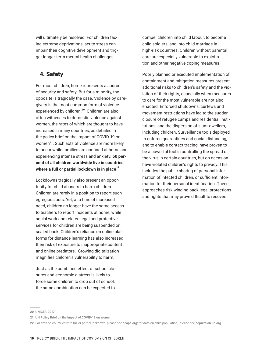will ultimately be resolved. For children facing extreme deprivations, acute stress can impair their cognitive development and trigger longer-term mental health challenges.

## 4. Safety

For most children, home represents a source of security and safety. But for a minority, the opposite is tragically the case. Violence by caregivers is the most common form of violence experienced by children.<sup>20</sup> Children are also often witnesses to domestic violence against women, the rates of which are thought to have increased in many countries, as detailed in the policy brief on the impact of COVID-19 on women<sup>21</sup>. Such acts of violence are more likely to occur while families are confined at home and experiencing intense stress and anxiety. **60 percent of all children worldwide live in countries**  where a full or partial lockdown is in place<sup>22</sup>.

Lockdowns tragically also present an opportunity for child abusers to harm children. Children are rarely in a position to report such egregious acts. Yet, at a time of increased need, children no longer have the same access to teachers to report incidents at home, while social work and related legal and protective services for children are being suspended or scaled back. Children's reliance on online platforms for distance learning has also increased their risk of exposure to inappropriate content and online predators. Growing digitalization magnifies children's vulnerability to harm.

Just as the combined effect of school closures and economic distress is likely to force some children to drop out of school, the same combination can be expected to

compel children into child labour, to become child soldiers, and into child marriage in high-risk countries. Children without parental care are especially vulnerable to exploitation and other negative coping measures.

Poorly planned or executed implementation of containment and mitigation measures present additional risks to children's safety and the violation of their rights, especially when measures to care for the most vulnerable are not also enacted. Enforced shutdowns, curfews and movement restrictions have led to the sudden closure of refugee camps and residential institutions, and the dispersion of slum-dwellers, including children. Surveillance tools deployed to enforce quarantines and social distancing, and to enable contact tracing, have proven to be a powerful tool in controlling the spread of the virus in certain countries, but on occasion have violated children's rights to privacy. This includes the public sharing of personal information of infected children, or sufficient information for their personal identification. These approaches risk winding back legal protections and rights that may prove difficult to recover.

**<sup>20</sup>** [UNICEF, 2017](https://data.unicef.org/resources/a-familiar-face/)

**<sup>21</sup>** [UN Policy Brief on the Impact of COVID-19 on Women](https://www.unwomen.org/-/media/headquarters/attachments/sections/library/publications/2020/policy-brief-the-impact-of-covid-19-on-women-en.pdf?la=en&vs=1406)

**<sup>22</sup>** For data on countries with full or partial lockdown, please see [acaps.org](https://www.acaps.org/); for data on child population, please see [population.un.org](https://www.un.org/en/development/desa/population/index.asp)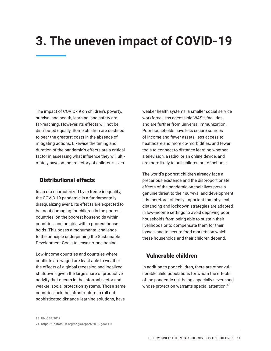# **3. The uneven impact of COVID-19**

The impact of COVID-19 on children's poverty, survival and health, learning, and safety are far-reaching. However, its effects will not be distributed equally. Some children are destined to bear the greatest costs in the absence of mitigating actions. Likewise the timing and duration of the pandemic's effects are a critical factor in assessing what influence they will ultimately have on the trajectory of children's lives.

### Distributional effects

In an era characterized by extreme inequality, the COVID-19 pandemic is a fundamentally disequalizing event. Its effects are expected to be most damaging for children in the poorest countries, on the poorest households within countries, and on girls within poorest households. This poses a monumental challenge to the principle underpinning the Sustainable Development Goals to leave no-one behind.

Low-income countries and countries where conflicts are waged are least able to weather the effects of a global recession and localized shutdowns given the large share of productive activity that occurs in the informal sector and weaker social protection systems. Those same countries lack the infrastructure to roll out sophisticated distance-learning solutions, have

weaker health systems, a smaller social service workforce, less accessible WASH facilities, and are further from universal immunization. Poor households have less secure sources of income and fewer assets, less access to healthcare and more co-morbidities, and fewer tools to connect to distance learning whether a television, a radio, or an online device, and are more likely to pull children out of schools.

The world's poorest children already face a precarious existence and the disproportionate effects of the pandemic on their lives pose a genuine threat to their survival and development. It is therefore critically important that physical distancing and lockdown strategies are adapted in low-income settings to avoid depriving poor households from being able to sustain their livelihoods or to compensate them for their losses, and to secure food markets on which these households and their children depend.

### Vulnerable children

In addition to poor children, there are other vulnerable child populations for whom the effects of the pandemic risk being especially severe and whose protection warrants special attention.<sup>23</sup>

**<sup>24</sup>** <https://unstats.un.org/sdgs/report/2019/goal-11/>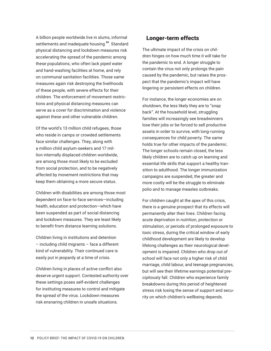A billion people worldwide live in slums, informal settlements and inadequate housing<sup>24</sup>. Standard physical distancing and lockdown measures risk accelerating the spread of the pandemic among these populations, who often lack piped water and hand-washing facilities at home, and rely on communal sanitation facilities. Those same measures again risk destroying the livelihoods of these people, with severe effects for their children. The enforcement of movement restrictions and physical distancing measures can serve as a cover for discrimination and violence against these and other vulnerable children.

Of the world's 13 million child refugees, those who reside in camps or crowded settlements face similar challenges. They, along with a million child asylum-seekers and 17 million internally displaced children worldwide, are among those most likely to be excluded from social protection, and to be negatively affected by movement restrictions that may keep them obtaining a more secure status.

Children with disabilities are among those most dependent on face-to-face services—including health, education and protection—which have been suspended as part of social distancing and lockdown measures. They are least likely to benefit from distance learning solutions.

Children living in institutions and detention – including child migrants – face a different kind of vulnerability. Their continued care is easily put in jeopardy at a time of crisis.

Children living in places of active conflict also deserve urgent support. Contested authority over these settings poses self-evident challenges for instituting measures to control and mitigate the spread of the virus. Lockdown measures risk ensnaring children in unsafe situations.

### Longer-term effects

The ultimate impact of the crisis on children hinges on how much time it will take for the pandemic to end. A longer struggle to contain the virus not only prolongs the pain caused by the pandemic, but raises the prospect that the pandemic's impact will have lingering or persistent effects on children.

For instance, the longer economies are on shutdown, the less likely they are to "snap back". At the household level, struggling families will increasingly see breadwinners lose their jobs or be forced to sell productive assets in order to survive, with long-running consequences for child poverty. The same holds true for other impacts of the pandemic. The longer schools remain closed, the less likely children are to catch up on learning and essential life skills that support a healthy transition to adulthood. The longer immunization campaigns are suspended, the greater and more costly will be the struggle to eliminate polio and to manage measles outbreaks.

For children caught at the apex of this crisis, there is a genuine prospect that its effects will permanently alter their lives. Children facing acute deprivation in nutrition, protection or stimulation, or periods of prolonged exposure to toxic stress, during the critical window of early childhood development are likely to develop lifelong challenges as their neurological development is impaired. Children who drop out of school will face not only a higher risk of child marriage, child labour, and teenage pregnancies, but will see their lifetime earnings potential precipitously fall. Children who experience family breakdowns during this period of heightened stress risk losing the sense of support and security on which children's wellbeing depends.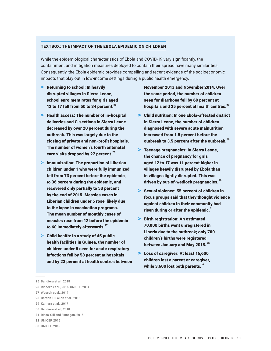### TEXTBOX: THE IMPACT OF THE EBOLA EPIDEMIC ON CHILDREN

While the epidemiological characteristics of Ebola and COVID-19 vary significantly, the containment and mitigation measures deployed to contain their spread have many similarities. Consequently, the Ebola epidemic provides compelling and recent evidence of the socioeconomic impacts that play out in low-income settings during a public health emergency.

- > Returning to school: In heavily disrupted villages in Sierra Leone, school enrolment rates for girls aged 12 to 17 fell from 50 to 34 percent. $^{25}$
- > Health access: The number of in-hospital deliveries and C-sections in Sierra Leone decreased by over 20 percent during the outbreak. This was largely due to the closing of private and non-profit hospitals. The number of women's fourth antenatal care visits dropped by 27 percent.<sup>26</sup>
- > Immunization: The proportion of Liberian children under 1 who were fully immunized fell from 73 percent before the epidemic, to 36 percent during the epidemic, and recovered only partially to 53 percent by the end of 2015. Measles cases in Liberian children under 5 rose, likely due to the lapse in vaccination programs. The mean number of monthly cases of measles rose from 12 before the epidemic to 60 immediately afterwards.<sup>27</sup>
- > Child health: In a study of 45 public health facilities in Guinea, the number of children under 5 seen for acute respiratory infections fell by 58 percent at hospitals and by 23 percent at health centres between

November 2013 and November 2014. Over the same period, the number of children seen for diarrhoea fell by 60 percent at hospitals and 25 percent at health centres.<sup>28</sup>

- > Child nutrition: In one Ebola-affected district in Sierra Leone, the number of children diagnosed with severe acute malnutrition increased from 1.5 percent before the outbreak to 3.5 percent after the outbreak.<sup>29</sup>
- > Teenage pregnancies: In Sierra Leone, the chance of pregnancy for girls aged 12 to 17 was 11 percent higher in villages heavily disrupted by Ebola than in villages lightly disrupted. This was driven by out-of-wedlock pregnancies.<sup>30</sup>
- > Sexual violence: 55 percent of children in focus groups said that they thought violence against children in their community had risen during or after the epidemic. $31$
- > Birth registration: An estimated 70,000 births went unregistered in Liberia due to the outbreak; only 700 children's births were registered between January and May 2015. 32
- > Loss of caregiver: At least 16,600 children lost a parent or caregiver, while 3,600 lost both parents. 33

**26** [Ribacke et al., 2016](https://www.povertyactionlab.org/sites/default/files/publications/The-Economic-Lives-of-Young-Women_ELA_SL_Bandiera-et-al_Dec2018.pdf); [UNICEF, 2014](https://scholar.google.com/scholar_lookup?title=Sierra%20Leone%20Health%20Facilities%20Survey%202014%3A%20Assessing%20the%20Impact%20of%20the%20EVD%20Outbreak%20on%20Sierra%20Leone%27s%20Health%20System&publication_year=2014)

- **31** [Risso-Gill and Finnegan, 2015](https://www.savethechildren.org/content/dam/global/reports/emergency-humanitarian-response/ebola-rec-sierraleone.pdf)
- **32** [UNICEF, 2015](https://www.unicef.org/media/media_82699.html)
- **33** [UNICEF, 2015](https://www.un.org/africarenewal/news/more-16000-children-lost-parents-or-caregivers-ebola-many-are-taken-communities-unicef)

**<sup>25</sup>** [Bandiera et al., 2018](https://www.povertyactionlab.org/sites/default/files/publications/The-Economic-Lives-of-Young-Women_ELA_SL_Bandiera-et-al_Dec2018.pdf)

**<sup>27</sup>** [Wesseh et al., 2017](https://www.ncbi.nlm.nih.gov/pmc/articles/PMC5515569/)

**<sup>28</sup>** [Barden-O'Fallon et al., 2015](https://www.ncbi.nlm.nih.gov/pmc/articles/PMC4542265/)

**<sup>29</sup>** [Kamara et al., 2017](https://www.ncbi.nlm.nih.gov/pmc/articles/PMC4542265/)

**<sup>30</sup>** [Bandiera et al., 2018](https://www.povertyactionlab.org/sites/default/files/publications/The-Economic-Lives-of-Young-Women_ELA_SL_Bandiera-et-al_Dec2018.pdf)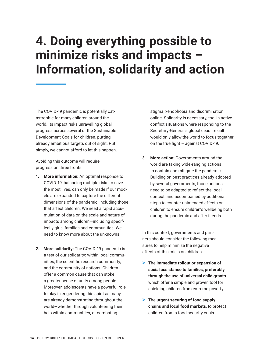# **4. Doing everything possible to minimize risks and impacts – Information, solidarity and action**

The COVID-19 pandemic is potentially catastrophic for many children around the world. Its impact risks unravelling global progress across several of the Sustainable Development Goals for children, putting already ambitious targets out of sight. Put simply, we cannot afford to let this happen.

Avoiding this outcome will require progress on three fronts.

- **1. More information:** An optimal response to COVID-19, balancing multiple risks to save the most lives, can only be made if our models are expanded to capture the different dimensions of the pandemic, including those that affect children. We need a rapid accumulation of data on the scale and nature of impacts among children—including specifically girls, families and communities. We need to know more about the unknowns.
- **2. More solidarity:** The COVID-19 pandemic is a test of our solidarity: within local communities, the scientific research community, and the community of nations. Children offer a common cause that can stoke a greater sense of unity among people. Moreover, adolescents have a powerful role to play in engendering this spirit as many are already demonstrating throughout the world—whether through volunteering their help within communities, or combating

stigma, xenophobia and discrimination online. Solidarity is necessary, too, in active conflict situations where responding to the Secretary-General's global ceasfire call would only allow the world to focus together on the true fight – against COVID-19.

**3. More action:** Governments around the world are taking wide-ranging actions to contain and mitigate the pandemic. Building on best practices already adopted by several governments, those actions need to be adapted to reflect the local context, and accompanied by additional steps to counter unintended effects on children to ensure children's wellbeing both during the pandemic and after it ends.

In this context, governments and partners should consider the following measures to help minimize the negative effects of this crisis on children:

- > The **immediate rollout or expansion of social assistance to families, preferably through the use of universal child grants** which offer a simple and proven tool for shielding children from extreme poverty.
- > The **urgent securing of food supply chains and local food markets**, to protect children from a food security crisis.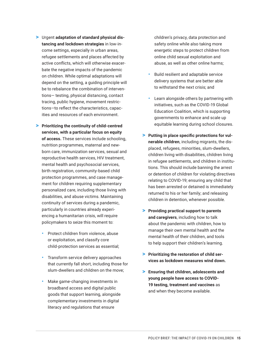- > Urgent **adaptation of standard physical distancing and lockdown strategies** in low-income settings, especially in urban areas, refugee settlements and places affected by active conflicts, which will otherwise exacerbate the negative impacts of the pandemic on children. While optimal adaptations will depend on the setting, a guiding principle will be to rebalance the combination of interventions— testing, physical distancing, contact tracing, public hygiene, movement restrictions—to reflect the characteristics, capacities and resources of each environment.
- > **Prioritizing the continuity of child-centred services, with a particular focus on equity of access.** These services include schooling, nutrition programmes, maternal and newborn care, immunization services, sexual and reproductive health services, HIV treatment, mental health and psychosocial services, birth registration, community-based child protection programmes, and case management for children requiring supplementary personalized care, including those living with disabilities, and abuse victims. Maintaining continuity of services during a pandemic, particularly in countries already experiencing a humanitarian crisis, will require policymakers to seize this moment to:
	- Protect children from violence, abuse or exploitation, and classify core child-protection services as essential;
	- Transform service delivery approaches that currently fall short, including those for slum-dwellers and children on the move;
	- Make game-changing investments in broadband access and digital public goods that support learning, alongside complementary investments in digital literacy and regulations that ensure

children's privacy, data protection and safety online while also taking more energetic steps to protect children from online child sexual exploitation and abuse, as well as other online harms;

- Build resilient and adaptable service delivery systems that are better able to withstand the next crisis; and
- Learn alongside others by partnering with initiatives, such as the COVID-19 Global Education Coalition, which is supporting governments to enhance and scale up equitable learning during school closures.
- > **Putting in place specific protections for vulnerable children**, including migrants, the displaced, refugees, minorities, slum-dwellers, children living with disabilities, children living in refugee settlements, and children in institutions. This should include banning the arrest or detention of children for violating directives relating to COVID-19; ensuring any child that has been arrested or detained is immediately returned to his or her family; and releasing children in detention, whenever possible.
- > **Providing practical support to parents and caregivers**, including how to talk about the pandemic with children, how to manage their own mental health and the mental health of their children, and tools to help support their children's learning.
- > **Prioritizing the restoration of child services as lockdown measures wind down.**
- > **Ensuring that children, adolescents and young people have access to COVID-19 testing, treatment and vaccines** as and when they become available.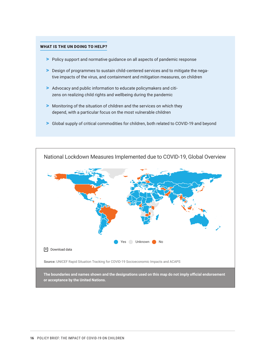#### WHAT IS THE UN DOING TO HELP?

- > Policy support and normative guidance on all aspects of pandemic response
- > Design of programmes to sustain child-centered services and to mitigate the negative impacts of the virus, and containment and mitigation measures, on children
- > Advocacy and public information to educate policymakers and citizens on realizing child rights and wellbeing during the pandemic
- > Monitoring of the situation of children and the services on which they depend, with a particular focus on the most vulnerable children
- > Global supply of critical commodities for children, both related to COVID-19 and beyond